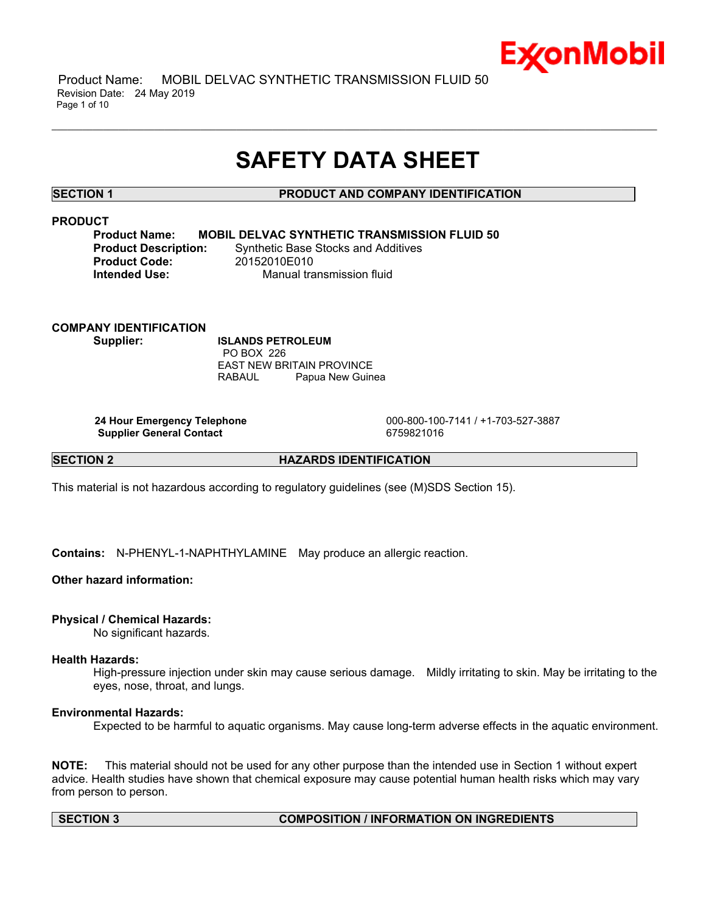

 Product Name: MOBIL DELVAC SYNTHETIC TRANSMISSION FLUID 50 Revision Date: 24 May 2019 Page 1 of 10

# **SAFETY DATA SHEET**

\_\_\_\_\_\_\_\_\_\_\_\_\_\_\_\_\_\_\_\_\_\_\_\_\_\_\_\_\_\_\_\_\_\_\_\_\_\_\_\_\_\_\_\_\_\_\_\_\_\_\_\_\_\_\_\_\_\_\_\_\_\_\_\_\_\_\_\_\_\_\_\_\_\_\_\_\_\_\_\_\_\_\_\_\_\_\_\_\_\_\_\_\_\_\_\_\_\_\_\_\_\_\_\_\_\_\_\_\_\_\_\_\_\_\_\_\_\_

# **SECTION 1 PRODUCT AND COMPANY IDENTIFICATION**

# **PRODUCT**

**Product Name: MOBIL DELVAC SYNTHETIC TRANSMISSION FLUID 50 Product Description:** Synthetic Base Stocks and Additives **Intended Use:** Manual transmission fluid

**COMPANY IDENTIFICATION Supplier: ISLANDS PETROLEUM**

**Product Code:** 

 PO BOX 226 EAST NEW BRITAIN PROVINCE RABAUL Papua New Guinea

**Supplier General Contact** 6759821016

 **24 Hour Emergency Telephone** 000-800-100-7141 / +1-703-527-3887

# **SECTION 2 HAZARDS IDENTIFICATION**

This material is not hazardous according to regulatory guidelines (see (M)SDS Section 15).

**Contains:** N-PHENYL-1-NAPHTHYLAMINE May produce an allergic reaction.

#### **Other hazard information:**

#### **Physical / Chemical Hazards:**

No significant hazards.

# **Health Hazards:**

High-pressure injection under skin may cause serious damage. Mildly irritating to skin. May be irritating to the eyes, nose, throat, and lungs.

### **Environmental Hazards:**

Expected to be harmful to aquatic organisms. May cause long-term adverse effects in the aquatic environment.

**NOTE:** This material should not be used for any other purpose than the intended use in Section 1 without expert advice. Health studies have shown that chemical exposure may cause potential human health risks which may vary from person to person.

# **SECTION 3 COMPOSITION / INFORMATION ON INGREDIENTS**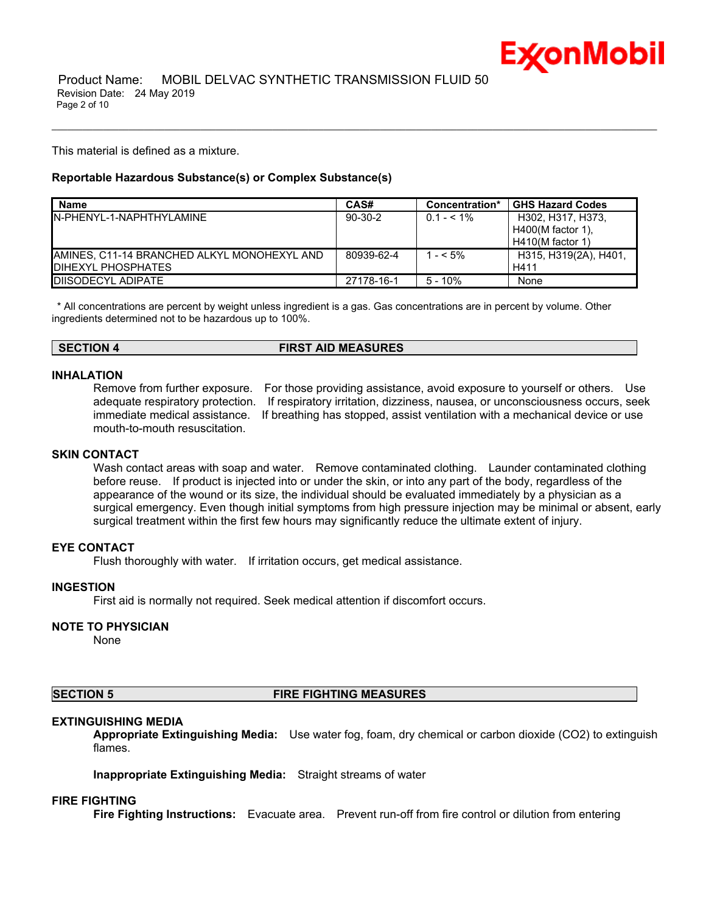

This material is defined as a mixture.

### **Reportable Hazardous Substance(s) or Complex Substance(s)**

| <b>Name</b>                                  | CAS#       | Concentration* | <b>GHS Hazard Codes</b> |
|----------------------------------------------|------------|----------------|-------------------------|
| IN-PHENYI -1-NAPHTHYI AMINE                  | $90-30-2$  | $0.1 - 5.1\%$  | H302, H317, H373.       |
|                                              |            |                | $H400(M$ factor 1).     |
|                                              |            |                | $H410(M$ factor 1)      |
| IAMINES. C11-14 BRANCHED ALKYL MONOHEXYL AND | 80939-62-4 | $- < 5\%$      | H315, H319(2A), H401,   |
| <b>IDIHEXYL PHOSPHATES</b>                   |            |                | H411                    |
| <b>IDIISODECYL ADIPATE</b>                   | 27178-16-1 | $5 - 10%$      | None                    |

\_\_\_\_\_\_\_\_\_\_\_\_\_\_\_\_\_\_\_\_\_\_\_\_\_\_\_\_\_\_\_\_\_\_\_\_\_\_\_\_\_\_\_\_\_\_\_\_\_\_\_\_\_\_\_\_\_\_\_\_\_\_\_\_\_\_\_\_\_\_\_\_\_\_\_\_\_\_\_\_\_\_\_\_\_\_\_\_\_\_\_\_\_\_\_\_\_\_\_\_\_\_\_\_\_\_\_\_\_\_\_\_\_\_\_\_\_\_

 \* All concentrations are percent by weight unless ingredient is a gas. Gas concentrations are in percent by volume. Other ingredients determined not to be hazardous up to 100%.

#### **SECTION 4 FIRST AID MEASURES**

# **INHALATION**

Remove from further exposure. For those providing assistance, avoid exposure to yourself or others. Use adequate respiratory protection. If respiratory irritation, dizziness, nausea, or unconsciousness occurs, seek immediate medical assistance. If breathing has stopped, assist ventilation with a mechanical device or use mouth-to-mouth resuscitation.

#### **SKIN CONTACT**

Wash contact areas with soap and water. Remove contaminated clothing. Launder contaminated clothing before reuse. If product is injected into or under the skin, or into any part of the body, regardless of the appearance of the wound or its size, the individual should be evaluated immediately by a physician as a surgical emergency. Even though initial symptoms from high pressure injection may be minimal or absent, early surgical treatment within the first few hours may significantly reduce the ultimate extent of injury.

# **EYE CONTACT**

Flush thoroughly with water. If irritation occurs, get medical assistance.

#### **INGESTION**

First aid is normally not required. Seek medical attention if discomfort occurs.

# **NOTE TO PHYSICIAN**

None

#### **SECTION 5 FIRE FIGHTING MEASURES**

#### **EXTINGUISHING MEDIA**

**Appropriate Extinguishing Media:** Use water fog, foam, dry chemical or carbon dioxide (CO2) to extinguish flames.

**Inappropriate Extinguishing Media:** Straight streams of water

#### **FIRE FIGHTING**

**Fire Fighting Instructions:** Evacuate area. Prevent run-off from fire control or dilution from entering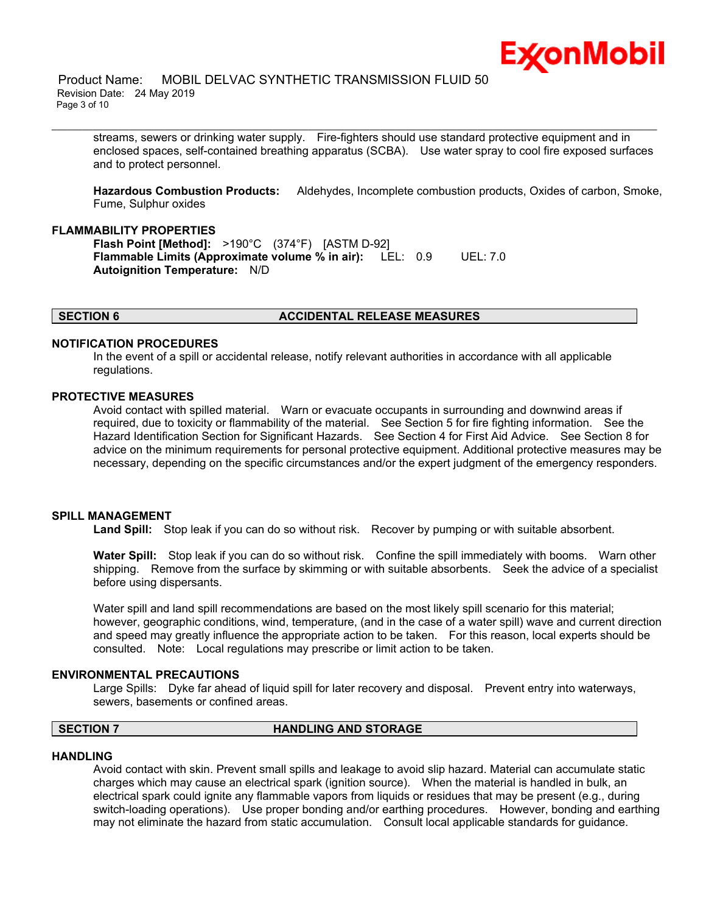

streams, sewers or drinking water supply. Fire-fighters should use standard protective equipment and in enclosed spaces, self-contained breathing apparatus (SCBA). Use water spray to cool fire exposed surfaces and to protect personnel.

\_\_\_\_\_\_\_\_\_\_\_\_\_\_\_\_\_\_\_\_\_\_\_\_\_\_\_\_\_\_\_\_\_\_\_\_\_\_\_\_\_\_\_\_\_\_\_\_\_\_\_\_\_\_\_\_\_\_\_\_\_\_\_\_\_\_\_\_\_\_\_\_\_\_\_\_\_\_\_\_\_\_\_\_\_\_\_\_\_\_\_\_\_\_\_\_\_\_\_\_\_\_\_\_\_\_\_\_\_\_\_\_\_\_\_\_\_\_

**Hazardous Combustion Products:** Aldehydes, Incomplete combustion products, Oxides of carbon, Smoke, Fume, Sulphur oxides

# **FLAMMABILITY PROPERTIES**

**Flash Point [Method]:** >190°C (374°F) [ASTM D-92] **Flammable Limits (Approximate volume % in air):** LEL: 0.9 UEL: 7.0 **Autoignition Temperature:** N/D

#### **SECTION 6 ACCIDENTAL RELEASE MEASURES**

#### **NOTIFICATION PROCEDURES**

In the event of a spill or accidental release, notify relevant authorities in accordance with all applicable regulations.

#### **PROTECTIVE MEASURES**

Avoid contact with spilled material. Warn or evacuate occupants in surrounding and downwind areas if required, due to toxicity or flammability of the material. See Section 5 for fire fighting information. See the Hazard Identification Section for Significant Hazards. See Section 4 for First Aid Advice. See Section 8 for advice on the minimum requirements for personal protective equipment. Additional protective measures may be necessary, depending on the specific circumstances and/or the expert judgment of the emergency responders.

### **SPILL MANAGEMENT**

**Land Spill:** Stop leak if you can do so without risk. Recover by pumping or with suitable absorbent.

**Water Spill:** Stop leak if you can do so without risk. Confine the spill immediately with booms. Warn other shipping. Remove from the surface by skimming or with suitable absorbents. Seek the advice of a specialist before using dispersants.

Water spill and land spill recommendations are based on the most likely spill scenario for this material; however, geographic conditions, wind, temperature, (and in the case of a water spill) wave and current direction and speed may greatly influence the appropriate action to be taken. For this reason, local experts should be consulted. Note: Local regulations may prescribe or limit action to be taken.

#### **ENVIRONMENTAL PRECAUTIONS**

Large Spills: Dyke far ahead of liquid spill for later recovery and disposal. Prevent entry into waterways, sewers, basements or confined areas.

# **SECTION 7 HANDLING AND STORAGE**

#### **HANDLING**

Avoid contact with skin. Prevent small spills and leakage to avoid slip hazard. Material can accumulate static charges which may cause an electrical spark (ignition source). When the material is handled in bulk, an electrical spark could ignite any flammable vapors from liquids or residues that may be present (e.g., during switch-loading operations). Use proper bonding and/or earthing procedures. However, bonding and earthing may not eliminate the hazard from static accumulation. Consult local applicable standards for guidance.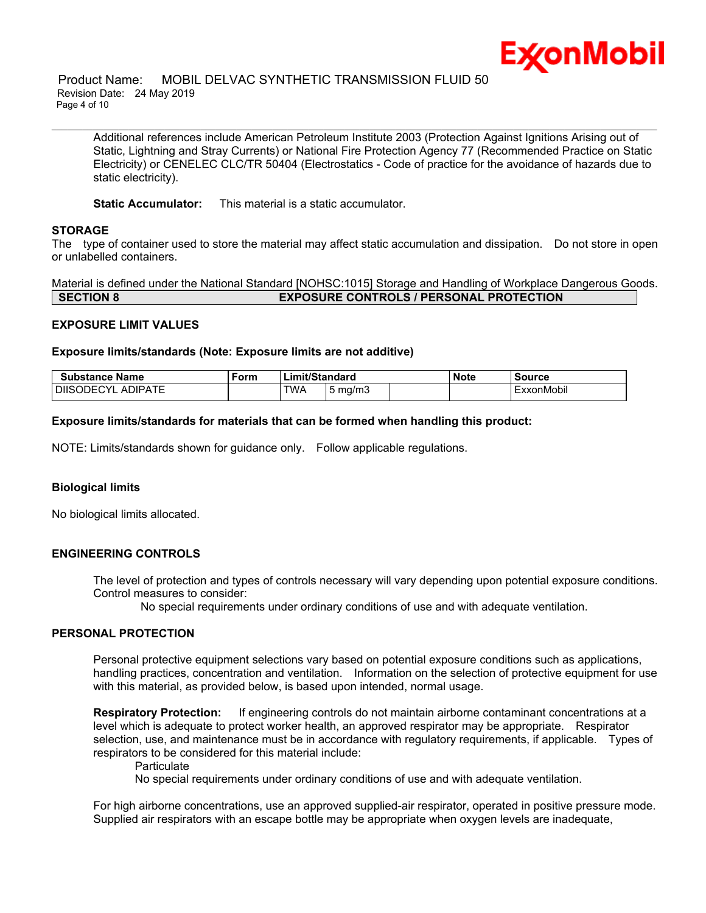

Additional references include American Petroleum Institute 2003 (Protection Against Ignitions Arising out of Static, Lightning and Stray Currents) or National Fire Protection Agency 77 (Recommended Practice on Static Electricity) or CENELEC CLC/TR 50404 (Electrostatics - Code of practice for the avoidance of hazards due to static electricity).

**Static Accumulator:** This material is a static accumulator.

# **STORAGE**

The type of container used to store the material may affect static accumulation and dissipation. Do not store in open or unlabelled containers.

\_\_\_\_\_\_\_\_\_\_\_\_\_\_\_\_\_\_\_\_\_\_\_\_\_\_\_\_\_\_\_\_\_\_\_\_\_\_\_\_\_\_\_\_\_\_\_\_\_\_\_\_\_\_\_\_\_\_\_\_\_\_\_\_\_\_\_\_\_\_\_\_\_\_\_\_\_\_\_\_\_\_\_\_\_\_\_\_\_\_\_\_\_\_\_\_\_\_\_\_\_\_\_\_\_\_\_\_\_\_\_\_\_\_\_\_\_\_

Material is defined under the National Standard [NOHSC:1015] Storage and Handling of Workplace Dangerous Goods. **SECTION 8 EXPOSURE CONTROLS / PERSONAL PROTECTION**

# **EXPOSURE LIMIT VALUES**

#### **Exposure limits/standards (Note: Exposure limits are not additive)**

| Substance Name                               | Form | nit/Standard<br>.im |            | <b>Note</b> | Source |          |
|----------------------------------------------|------|---------------------|------------|-------------|--------|----------|
| <b>NIPATE</b><br><b>DIISODE</b><br>ועי<br>ΑI |      | TWA                 | mg/m3<br>ັ |             |        | xonMobil |

### **Exposure limits/standards for materials that can be formed when handling this product:**

NOTE: Limits/standards shown for guidance only. Follow applicable regulations.

# **Biological limits**

No biological limits allocated.

# **ENGINEERING CONTROLS**

The level of protection and types of controls necessary will vary depending upon potential exposure conditions. Control measures to consider:

No special requirements under ordinary conditions of use and with adequate ventilation.

## **PERSONAL PROTECTION**

Personal protective equipment selections vary based on potential exposure conditions such as applications, handling practices, concentration and ventilation. Information on the selection of protective equipment for use with this material, as provided below, is based upon intended, normal usage.

**Respiratory Protection:** If engineering controls do not maintain airborne contaminant concentrations at a level which is adequate to protect worker health, an approved respirator may be appropriate. Respirator selection, use, and maintenance must be in accordance with regulatory requirements, if applicable. Types of respirators to be considered for this material include:

#### **Particulate**

No special requirements under ordinary conditions of use and with adequate ventilation.

For high airborne concentrations, use an approved supplied-air respirator, operated in positive pressure mode. Supplied air respirators with an escape bottle may be appropriate when oxygen levels are inadequate,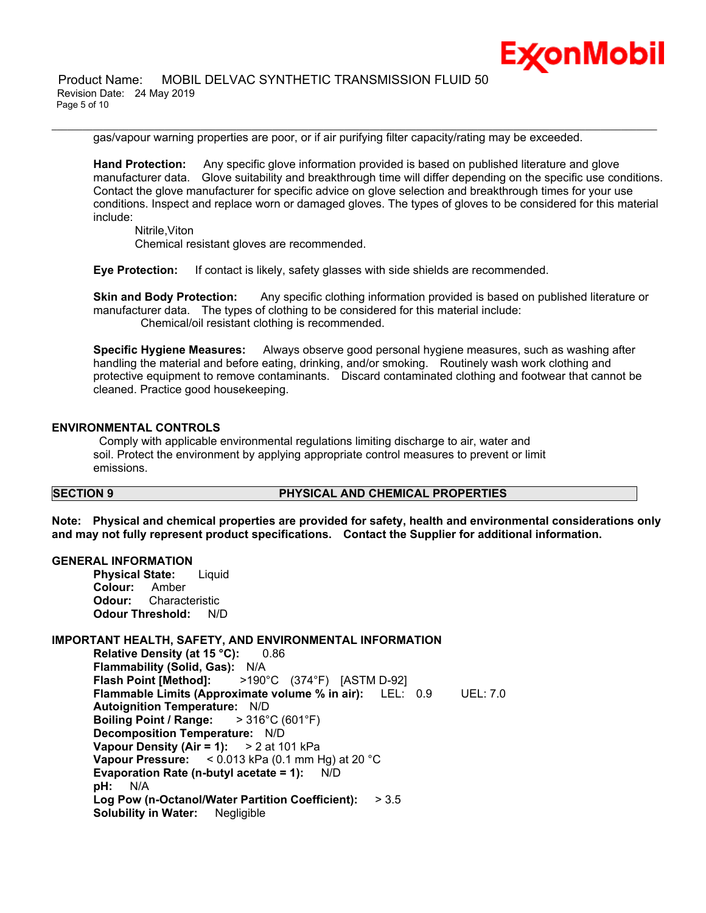

gas/vapour warning properties are poor, or if air purifying filter capacity/rating may be exceeded.

\_\_\_\_\_\_\_\_\_\_\_\_\_\_\_\_\_\_\_\_\_\_\_\_\_\_\_\_\_\_\_\_\_\_\_\_\_\_\_\_\_\_\_\_\_\_\_\_\_\_\_\_\_\_\_\_\_\_\_\_\_\_\_\_\_\_\_\_\_\_\_\_\_\_\_\_\_\_\_\_\_\_\_\_\_\_\_\_\_\_\_\_\_\_\_\_\_\_\_\_\_\_\_\_\_\_\_\_\_\_\_\_\_\_\_\_\_\_

**Hand Protection:** Any specific glove information provided is based on published literature and glove manufacturer data. Glove suitability and breakthrough time will differ depending on the specific use conditions. Contact the glove manufacturer for specific advice on glove selection and breakthrough times for your use conditions. Inspect and replace worn or damaged gloves. The types of gloves to be considered for this material include:

Nitrile,Viton Chemical resistant gloves are recommended.

**Eye Protection:** If contact is likely, safety glasses with side shields are recommended.

**Skin and Body Protection:** Any specific clothing information provided is based on published literature or manufacturer data. The types of clothing to be considered for this material include: Chemical/oil resistant clothing is recommended.

**Specific Hygiene Measures:** Always observe good personal hygiene measures, such as washing after handling the material and before eating, drinking, and/or smoking. Routinely wash work clothing and protective equipment to remove contaminants. Discard contaminated clothing and footwear that cannot be cleaned. Practice good housekeeping.

# **ENVIRONMENTAL CONTROLS**

 Comply with applicable environmental regulations limiting discharge to air, water and soil. Protect the environment by applying appropriate control measures to prevent or limit emissions.

## **SECTION 9 PHYSICAL AND CHEMICAL PROPERTIES**

**Note: Physical and chemical properties are provided for safety, health and environmental considerations only and may not fully represent product specifications. Contact the Supplier for additional information.**

#### **GENERAL INFORMATION**

**Physical State:** Liquid **Colour:** Amber **Odour:** Characteristic **Odour Threshold:** N/D

# **IMPORTANT HEALTH, SAFETY, AND ENVIRONMENTAL INFORMATION**

**Relative Density (at 15 °C):** 0.86 **Flammability (Solid, Gas):** N/A **Flash Point [Method]:** >190°C (374°F) [ASTM D-92] **Flammable Limits (Approximate volume % in air):** LEL: 0.9 UEL: 7.0 **Autoignition Temperature:** N/D **Boiling Point / Range:** > 316°C (601°F) **Decomposition Temperature:** N/D **Vapour Density (Air = 1):** > 2 at 101 kPa **Vapour Pressure:** < 0.013 kPa (0.1 mm Hg) at 20 °C **Evaporation Rate (n-butyl acetate = 1):** N/D **pH:** N/A **Log Pow (n-Octanol/Water Partition Coefficient):** > 3.5 **Solubility in Water:** Negligible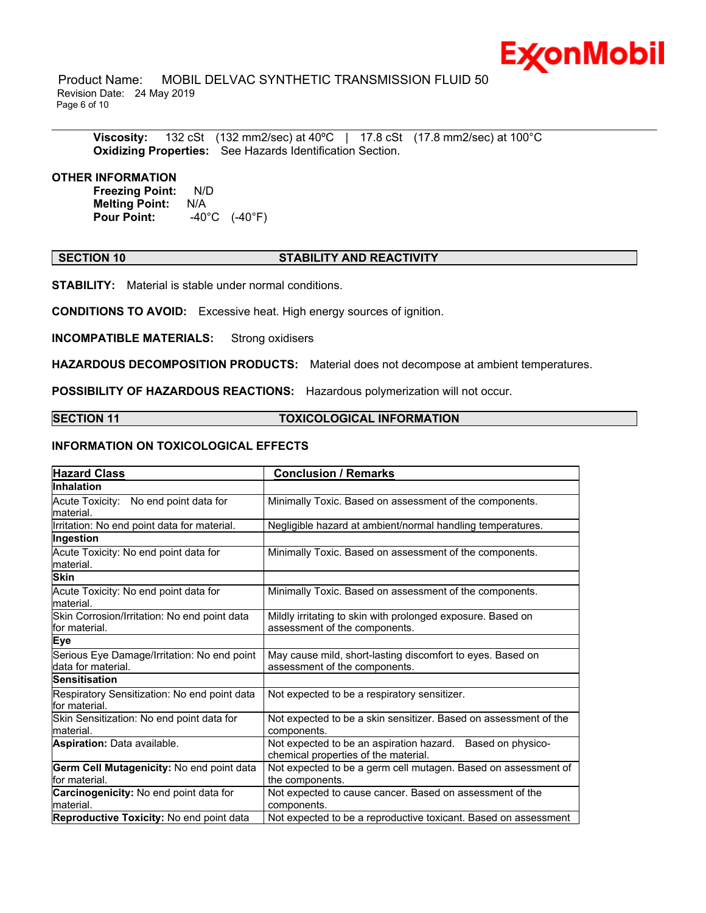

 Product Name: MOBIL DELVAC SYNTHETIC TRANSMISSION FLUID 50 Revision Date: 24 May 2019 Page 6 of 10

**Viscosity:** 132 cSt (132 mm2/sec) at 40ºC | 17.8 cSt (17.8 mm2/sec) at 100°C **Oxidizing Properties:** See Hazards Identification Section.

## **OTHER INFORMATION**

**Freezing Point:** N/D **Melting Point: N/A<br>Pour Point: 40° Pour Point:** -40°C (-40°F)

# **SECTION 10 STABILITY AND REACTIVITY**

\_\_\_\_\_\_\_\_\_\_\_\_\_\_\_\_\_\_\_\_\_\_\_\_\_\_\_\_\_\_\_\_\_\_\_\_\_\_\_\_\_\_\_\_\_\_\_\_\_\_\_\_\_\_\_\_\_\_\_\_\_\_\_\_\_\_\_\_\_\_\_\_\_\_\_\_\_\_\_\_\_\_\_\_\_\_\_\_\_\_\_\_\_\_\_\_\_\_\_\_\_\_\_\_\_\_\_\_\_\_\_\_\_\_\_\_\_\_

**STABILITY:** Material is stable under normal conditions.

**CONDITIONS TO AVOID:** Excessive heat. High energy sources of ignition.

**INCOMPATIBLE MATERIALS:** Strong oxidisers

**HAZARDOUS DECOMPOSITION PRODUCTS:** Material does not decompose at ambient temperatures.

**POSSIBILITY OF HAZARDOUS REACTIONS:** Hazardous polymerization will not occur.

## **SECTION 11 TOXICOLOGICAL INFORMATION**

# **INFORMATION ON TOXICOLOGICAL EFFECTS**

| <b>Hazard Class</b>                                               | <b>Conclusion / Remarks</b>                                                                        |  |  |
|-------------------------------------------------------------------|----------------------------------------------------------------------------------------------------|--|--|
| <b>Inhalation</b>                                                 |                                                                                                    |  |  |
| Acute Toxicity: No end point data for<br>lmaterial.               | Minimally Toxic. Based on assessment of the components.                                            |  |  |
| Irritation: No end point data for material.                       | Negligible hazard at ambient/normal handling temperatures.                                         |  |  |
| Ingestion                                                         |                                                                                                    |  |  |
| Acute Toxicity: No end point data for<br>lmaterial.               | Minimally Toxic. Based on assessment of the components.                                            |  |  |
| <b>Skin</b>                                                       |                                                                                                    |  |  |
| Acute Toxicity: No end point data for<br>lmaterial.               | Minimally Toxic. Based on assessment of the components.                                            |  |  |
| Skin Corrosion/Irritation: No end point data<br>lfor material.    | Mildly irritating to skin with prolonged exposure. Based on<br>assessment of the components.       |  |  |
| Eye                                                               |                                                                                                    |  |  |
| Serious Eye Damage/Irritation: No end point<br>data for material. | May cause mild, short-lasting discomfort to eyes. Based on<br>assessment of the components.        |  |  |
| lSensitisation                                                    |                                                                                                    |  |  |
| Respiratory Sensitization: No end point data<br>lfor material.    | Not expected to be a respiratory sensitizer.                                                       |  |  |
| Skin Sensitization: No end point data for<br>lmaterial.           | Not expected to be a skin sensitizer. Based on assessment of the<br>components.                    |  |  |
| <b>Aspiration: Data available.</b>                                | Not expected to be an aspiration hazard. Based on physico-<br>chemical properties of the material. |  |  |
| Germ Cell Mutagenicity: No end point data                         | Not expected to be a germ cell mutagen. Based on assessment of                                     |  |  |
| lfor material.                                                    | the components.                                                                                    |  |  |
| Carcinogenicity: No end point data for<br>lmaterial.              | Not expected to cause cancer. Based on assessment of the<br>components.                            |  |  |
| Reproductive Toxicity: No end point data                          | Not expected to be a reproductive toxicant. Based on assessment                                    |  |  |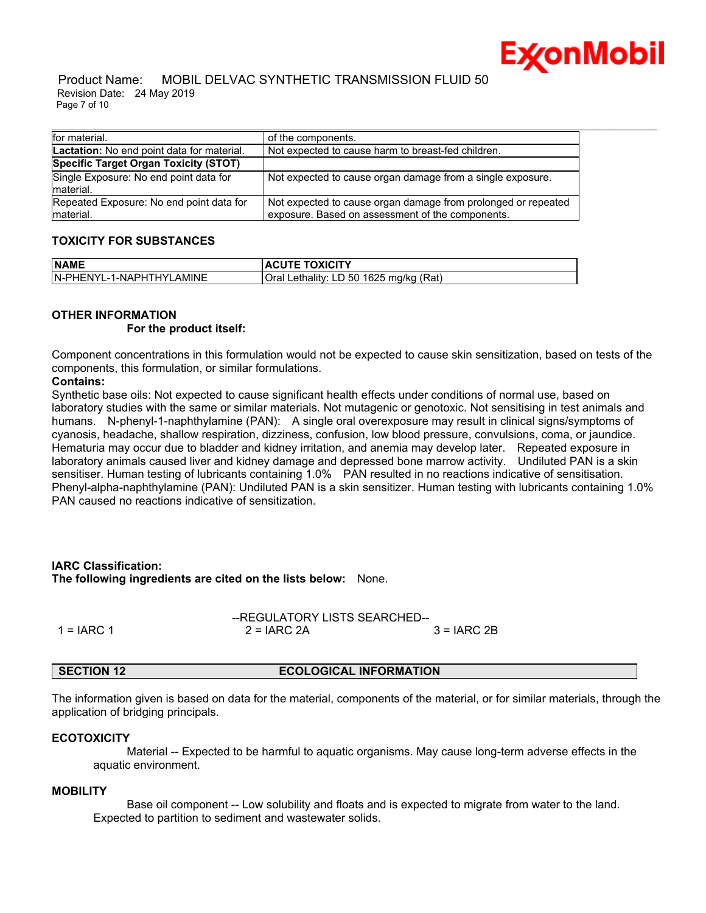

#### Product Name: MOBIL DELVAC SYNTHETIC TRANSMISSION FLUID 50 Revision Date: 24 May 2019 Page 7 of 10

| for material.                                         | of the components.                                                                                                |
|-------------------------------------------------------|-------------------------------------------------------------------------------------------------------------------|
| <b>Lactation:</b> No end point data for material.     | Not expected to cause harm to breast-fed children.                                                                |
| Specific Target Organ Toxicity (STOT)                 |                                                                                                                   |
| Single Exposure: No end point data for<br>material.   | Not expected to cause organ damage from a single exposure.                                                        |
| Repeated Exposure: No end point data for<br>material. | Not expected to cause organ damage from prolonged or repeated<br>exposure. Based on assessment of the components. |

# **TOXICITY FOR SUBSTANCES**

| <b>NAME</b>               | <b>ACUTE TOXICITY</b>                         |
|---------------------------|-----------------------------------------------|
| IN-PHENYL-1-NAPHTHYLAMINE | I Lethality: LD 50 1625 mg/kg (Rat)<br>Oral I |

# **OTHER INFORMATION**

# **For the product itself:**

Component concentrations in this formulation would not be expected to cause skin sensitization, based on tests of the components, this formulation, or similar formulations.

# **Contains:**

Synthetic base oils: Not expected to cause significant health effects under conditions of normal use, based on laboratory studies with the same or similar materials. Not mutagenic or genotoxic. Not sensitising in test animals and humans. N-phenyl-1-naphthylamine (PAN): A single oral overexposure may result in clinical signs/symptoms of cyanosis, headache, shallow respiration, dizziness, confusion, low blood pressure, convulsions, coma, or jaundice. Hematuria may occur due to bladder and kidney irritation, and anemia may develop later. Repeated exposure in laboratory animals caused liver and kidney damage and depressed bone marrow activity. Undiluted PAN is a skin sensitiser. Human testing of lubricants containing 1.0% PAN resulted in no reactions indicative of sensitisation. Phenyl-alpha-naphthylamine (PAN): Undiluted PAN is a skin sensitizer. Human testing with lubricants containing 1.0% PAN caused no reactions indicative of sensitization.

# **IARC Classification:**

**The following ingredients are cited on the lists below:** None.

|              | --REGULATORY LISTS SEARCHED-- |              |  |
|--------------|-------------------------------|--------------|--|
| 1 = $IARC 1$ | $2 = IARC 2A$                 | $3 = IARC2B$ |  |

# **SECTION 12 ECOLOGICAL INFORMATION**

The information given is based on data for the material, components of the material, or for similar materials, through the application of bridging principals.

#### **ECOTOXICITY**

 Material -- Expected to be harmful to aquatic organisms. May cause long-term adverse effects in the aquatic environment.

#### **MOBILITY**

 Base oil component -- Low solubility and floats and is expected to migrate from water to the land. Expected to partition to sediment and wastewater solids.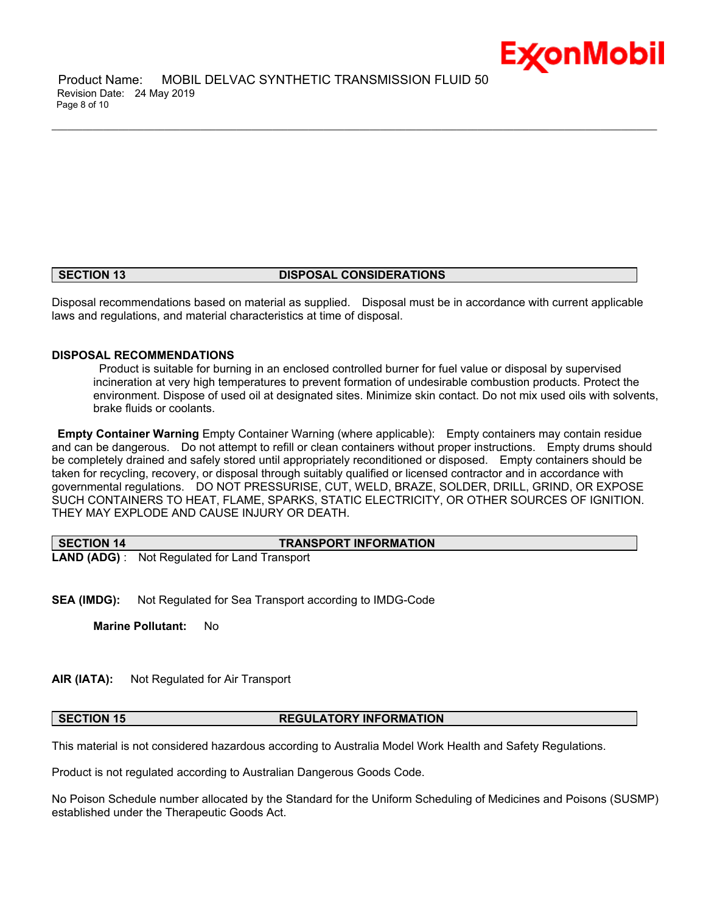

 Product Name: MOBIL DELVAC SYNTHETIC TRANSMISSION FLUID 50 Revision Date: 24 May 2019 Page 8 of 10

### **SECTION 13 DISPOSAL CONSIDERATIONS**

\_\_\_\_\_\_\_\_\_\_\_\_\_\_\_\_\_\_\_\_\_\_\_\_\_\_\_\_\_\_\_\_\_\_\_\_\_\_\_\_\_\_\_\_\_\_\_\_\_\_\_\_\_\_\_\_\_\_\_\_\_\_\_\_\_\_\_\_\_\_\_\_\_\_\_\_\_\_\_\_\_\_\_\_\_\_\_\_\_\_\_\_\_\_\_\_\_\_\_\_\_\_\_\_\_\_\_\_\_\_\_\_\_\_\_\_\_\_

Disposal recommendations based on material as supplied. Disposal must be in accordance with current applicable laws and regulations, and material characteristics at time of disposal.

# **DISPOSAL RECOMMENDATIONS**

 Product is suitable for burning in an enclosed controlled burner for fuel value or disposal by supervised incineration at very high temperatures to prevent formation of undesirable combustion products. Protect the environment. Dispose of used oil at designated sites. Minimize skin contact. Do not mix used oils with solvents, brake fluids or coolants.

**Empty Container Warning** Empty Container Warning (where applicable): Empty containers may contain residue and can be dangerous. Do not attempt to refill or clean containers without proper instructions. Empty drums should be completely drained and safely stored until appropriately reconditioned or disposed. Empty containers should be taken for recycling, recovery, or disposal through suitably qualified or licensed contractor and in accordance with governmental regulations. DO NOT PRESSURISE, CUT, WELD, BRAZE, SOLDER, DRILL, GRIND, OR EXPOSE SUCH CONTAINERS TO HEAT, FLAME, SPARKS, STATIC ELECTRICITY, OR OTHER SOURCES OF IGNITION. THEY MAY EXPLODE AND CAUSE INJURY OR DEATH.

| SECTION 14 | <b>TRANSPORT INFORMATION</b>                         |
|------------|------------------------------------------------------|
|            | <b>LAND (ADG)</b> : Not Regulated for Land Transport |

**SEA (IMDG):** Not Regulated for Sea Transport according to IMDG-Code

**Marine Pollutant:** No

## **AIR (IATA):** Not Regulated for Air Transport

## **SECTION 15 REGULATORY INFORMATION**

This material is not considered hazardous according to Australia Model Work Health and Safety Regulations.

Product is not regulated according to Australian Dangerous Goods Code.

No Poison Schedule number allocated by the Standard for the Uniform Scheduling of Medicines and Poisons (SUSMP) established under the Therapeutic Goods Act.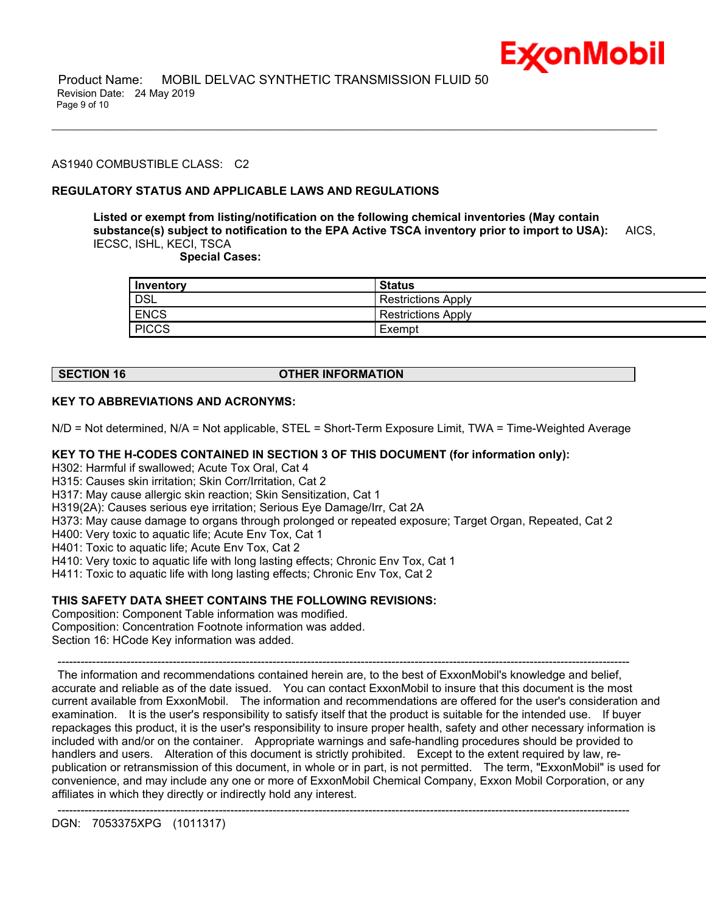

# AS1940 COMBUSTIBLE CLASS: C2

# **REGULATORY STATUS AND APPLICABLE LAWS AND REGULATIONS**

**Listed or exempt from listing/notification on the following chemical inventories (May contain substance(s) subject to notification to the EPA Active TSCA inventory prior to import to USA):** AICS, IECSC, ISHL, KECI, TSCA

\_\_\_\_\_\_\_\_\_\_\_\_\_\_\_\_\_\_\_\_\_\_\_\_\_\_\_\_\_\_\_\_\_\_\_\_\_\_\_\_\_\_\_\_\_\_\_\_\_\_\_\_\_\_\_\_\_\_\_\_\_\_\_\_\_\_\_\_\_\_\_\_\_\_\_\_\_\_\_\_\_\_\_\_\_\_\_\_\_\_\_\_\_\_\_\_\_\_\_\_\_\_\_\_\_\_\_\_\_\_\_\_\_\_\_\_\_\_

 **Special Cases:**

| Inventory    | Status                    |
|--------------|---------------------------|
| DSL          | <b>Restrictions Apply</b> |
| <b>ENCS</b>  | <b>Restrictions Apply</b> |
| <b>PICCS</b> | Exempt                    |

# **SECTION 16 OTHER INFORMATION**

# **KEY TO ABBREVIATIONS AND ACRONYMS:**

N/D = Not determined, N/A = Not applicable, STEL = Short-Term Exposure Limit, TWA = Time-Weighted Average

## **KEY TO THE H-CODES CONTAINED IN SECTION 3 OF THIS DOCUMENT (for information only):**

H302: Harmful if swallowed; Acute Tox Oral, Cat 4

H315: Causes skin irritation; Skin Corr/Irritation, Cat 2

H317: May cause allergic skin reaction; Skin Sensitization, Cat 1

H319(2A): Causes serious eye irritation; Serious Eye Damage/Irr, Cat 2A

H373: May cause damage to organs through prolonged or repeated exposure; Target Organ, Repeated, Cat 2

H400: Very toxic to aquatic life; Acute Env Tox, Cat 1

H401: Toxic to aquatic life; Acute Env Tox, Cat 2

H410: Very toxic to aquatic life with long lasting effects; Chronic Env Tox, Cat 1

H411: Toxic to aquatic life with long lasting effects; Chronic Env Tox, Cat 2

# **THIS SAFETY DATA SHEET CONTAINS THE FOLLOWING REVISIONS:**

Composition: Component Table information was modified. Composition: Concentration Footnote information was added. Section 16: HCode Key information was added.

 The information and recommendations contained herein are, to the best of ExxonMobil's knowledge and belief, accurate and reliable as of the date issued. You can contact ExxonMobil to insure that this document is the most current available from ExxonMobil. The information and recommendations are offered for the user's consideration and examination. It is the user's responsibility to satisfy itself that the product is suitable for the intended use. If buyer repackages this product, it is the user's responsibility to insure proper health, safety and other necessary information is included with and/or on the container. Appropriate warnings and safe-handling procedures should be provided to handlers and users. Alteration of this document is strictly prohibited. Except to the extent required by law, republication or retransmission of this document, in whole or in part, is not permitted. The term, "ExxonMobil" is used for convenience, and may include any one or more of ExxonMobil Chemical Company, Exxon Mobil Corporation, or any affiliates in which they directly or indirectly hold any interest.

-----------------------------------------------------------------------------------------------------------------------------------------------------

-----------------------------------------------------------------------------------------------------------------------------------------------------

DGN: 7053375XPG (1011317)